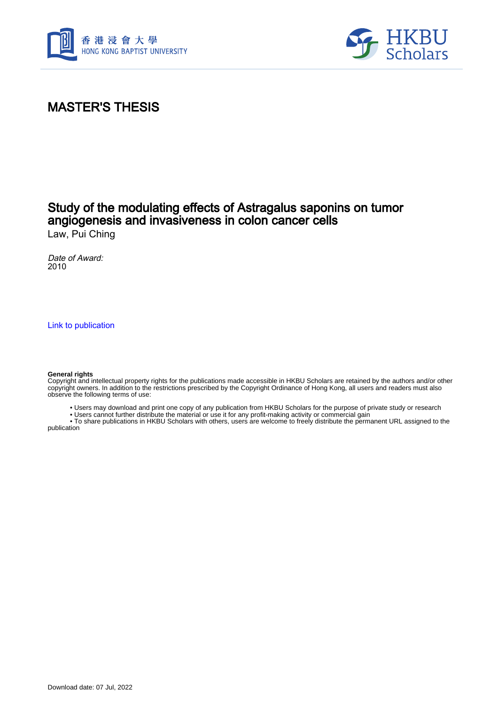



### MASTER'S THESIS

## Study of the modulating effects of Astragalus saponins on tumor angiogenesis and invasiveness in colon cancer cells

Law, Pui Ching

Date of Award: 2010

[Link to publication](https://scholars.hkbu.edu.hk/en/studentTheses/53c54162-02b7-48d6-a325-8791a6d37997)

#### **General rights**

Copyright and intellectual property rights for the publications made accessible in HKBU Scholars are retained by the authors and/or other copyright owners. In addition to the restrictions prescribed by the Copyright Ordinance of Hong Kong, all users and readers must also observe the following terms of use:

- Users may download and print one copy of any publication from HKBU Scholars for the purpose of private study or research
- Users cannot further distribute the material or use it for any profit-making activity or commercial gain

 • To share publications in HKBU Scholars with others, users are welcome to freely distribute the permanent URL assigned to the publication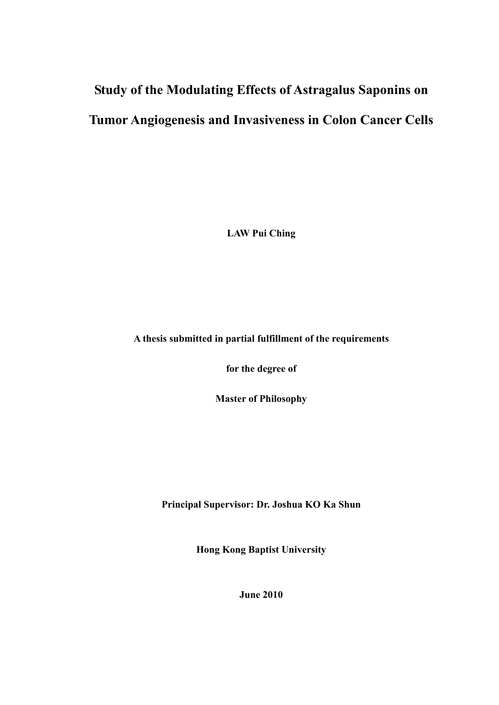# **Study of the Modulating Effects of Astragalus Saponins on Tumor Angiogenesis and Invasiveness in Colon Cancer Cells**

**LAW Pui Ching** 

### **A thesis submitted in partial fulfillment of the requirements**

**for the degree of** 

**Master of Philosophy** 

**Principal Supervisor: Dr. Joshua KO Ka Shun** 

**Hong Kong Baptist University** 

**June 2010**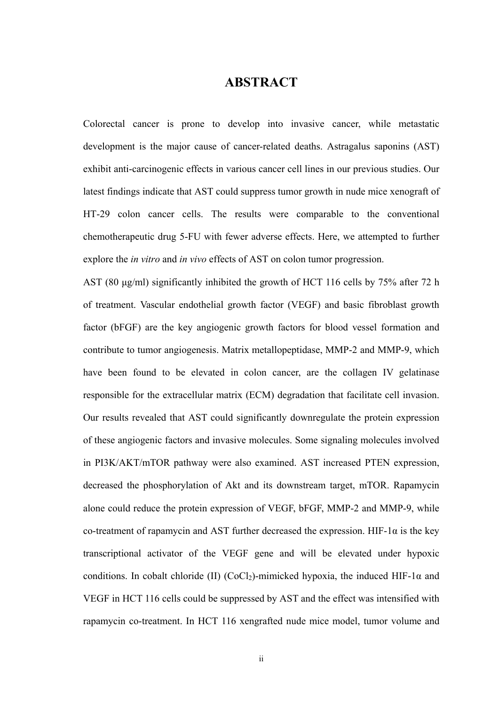### **ABSTRACT**

<span id="page-2-0"></span>Colorectal cancer is prone to develop into invasive cancer, while metastatic development is the major cause of cancer-related deaths. Astragalus saponins (AST) exhibit anti-carcinogenic effects in various cancer cell lines in our previous studies. Our latest findings indicate that AST could suppress tumor growth in nude mice xenograft of HT-29 colon cancer cells. The results were comparable to the conventional chemotherapeutic drug 5-FU with fewer adverse effects. Here, we attempted to further explore the *in vitro* and *in vivo* effects of AST on colon tumor progression.

AST (80 μg/ml) significantly inhibited the growth of HCT 116 cells by 75% after 72 h of treatment. Vascular endothelial growth factor (VEGF) and basic fibroblast growth factor (bFGF) are the key angiogenic growth factors for blood vessel formation and contribute to tumor angiogenesis. Matrix metallopeptidase, MMP-2 and MMP-9, which have been found to be elevated in colon cancer, are the collagen IV gelatinase responsible for the extracellular matrix (ECM) degradation that facilitate cell invasion. Our results revealed that AST could significantly downregulate the protein expression of these angiogenic factors and invasive molecules. Some signaling molecules involved in PI3K/AKT/mTOR pathway were also examined. AST increased PTEN expression, decreased the phosphorylation of Akt and its downstream target, mTOR. Rapamycin alone could reduce the protein expression of VEGF, bFGF, MMP-2 and MMP-9, while co-treatment of rapamycin and AST further decreased the expression. HIF-1 $\alpha$  is the key transcriptional activator of the VEGF gene and will be elevated under hypoxic conditions. In cobalt chloride (II)  $(CoCl<sub>2</sub>)$ -mimicked hypoxia, the induced HIF-1 $\alpha$  and VEGF in HCT 116 cells could be suppressed by AST and the effect was intensified with rapamycin co-treatment. In HCT 116 xengrafted nude mice model, tumor volume and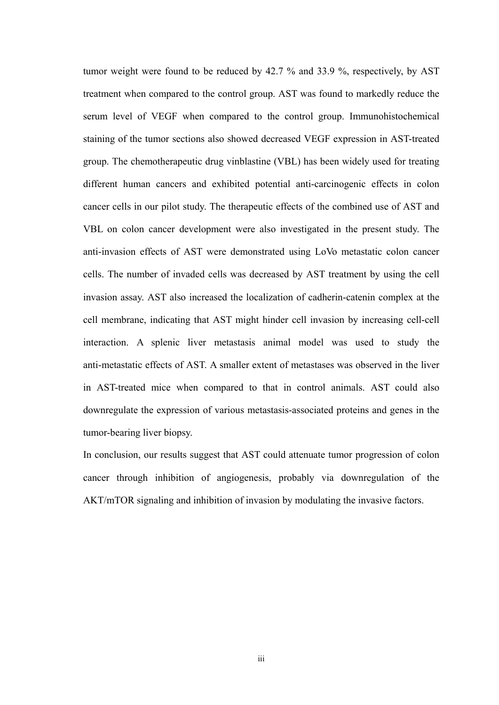tumor weight were found to be reduced by 42.7 % and 33.9 %, respectively, by AST treatment when compared to the control group. AST was found to markedly reduce the serum level of VEGF when compared to the control group. Immunohistochemical staining of the tumor sections also showed decreased VEGF expression in AST-treated group. The chemotherapeutic drug vinblastine (VBL) has been widely used for treating different human cancers and exhibited potential anti-carcinogenic effects in colon cancer cells in our pilot study. The therapeutic effects of the combined use of AST and VBL on colon cancer development were also investigated in the present study. The anti-invasion effects of AST were demonstrated using LoVo metastatic colon cancer cells. The number of invaded cells was decreased by AST treatment by using the cell invasion assay. AST also increased the localization of cadherin-catenin complex at the cell membrane, indicating that AST might hinder cell invasion by increasing cell-cell interaction. A splenic liver metastasis animal model was used to study the anti-metastatic effects of AST. A smaller extent of metastases was observed in the liver in AST-treated mice when compared to that in control animals. AST could also downregulate the expression of various metastasis-associated proteins and genes in the tumor-bearing liver biopsy.

In conclusion, our results suggest that AST could attenuate tumor progression of colon cancer through inhibition of angiogenesis, probably via downregulation of the AKT/mTOR signaling and inhibition of invasion by modulating the invasive factors.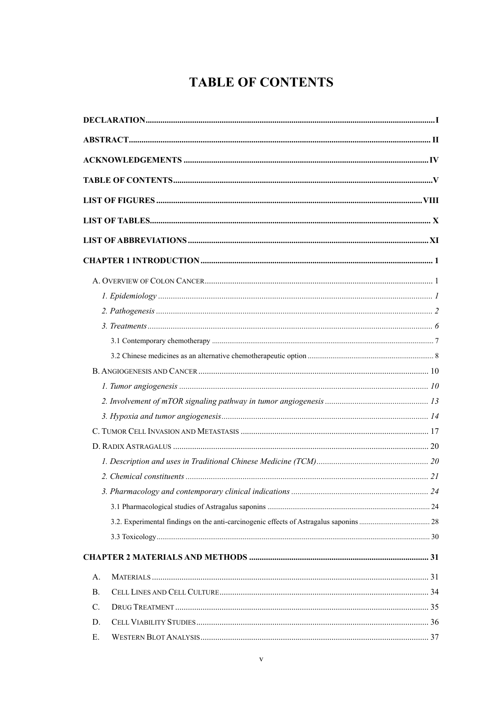## **TABLE OF CONTENTS**

<span id="page-4-0"></span>

| A.             |  |
|----------------|--|
| $\mathbf{B}$ . |  |
| C.             |  |
| D.             |  |
| Е.             |  |
|                |  |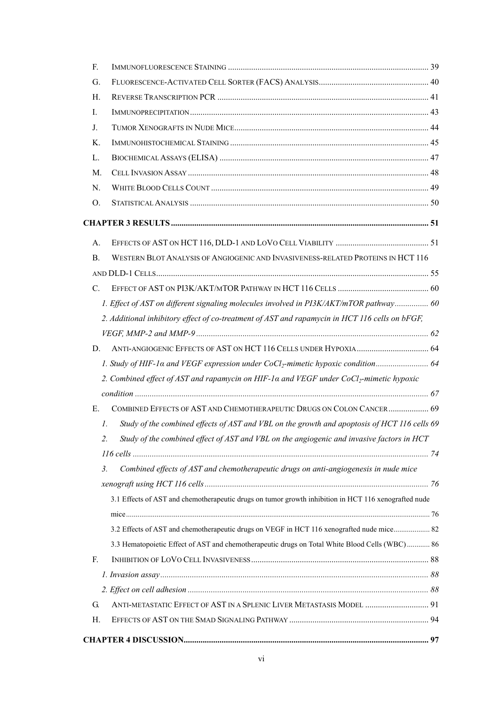| F.          |                 |                                                                                                      |  |
|-------------|-----------------|------------------------------------------------------------------------------------------------------|--|
| G.          |                 |                                                                                                      |  |
| Н.          |                 |                                                                                                      |  |
| I.          |                 |                                                                                                      |  |
| J.          |                 |                                                                                                      |  |
| Κ.          |                 |                                                                                                      |  |
| L.          |                 |                                                                                                      |  |
|             | M.              |                                                                                                      |  |
| N.          |                 |                                                                                                      |  |
|             | O.              |                                                                                                      |  |
|             |                 |                                                                                                      |  |
|             | A.              |                                                                                                      |  |
| <b>B.</b>   |                 | WESTERN BLOT ANALYSIS OF ANGIOGENIC AND INVASIVENESS-RELATED PROTEINS IN HCT 116                     |  |
|             |                 |                                                                                                      |  |
| $C_{\cdot}$ |                 |                                                                                                      |  |
|             |                 | 1. Effect of AST on different signaling molecules involved in PI3K/AKT/mTOR pathway 60               |  |
|             |                 | 2. Additional inhibitory effect of co-treatment of AST and rapamycin in HCT 116 cells on bFGF,       |  |
|             |                 |                                                                                                      |  |
|             | D.              |                                                                                                      |  |
|             |                 | 1. Study of HIF-1a and VEGF expression under CoCl <sub>2</sub> -mimetic hypoxic condition 64         |  |
|             |                 | 2. Combined effect of AST and rapamycin on HIF-1a and VEGF under CoCl <sub>2</sub> -mimetic hypoxic  |  |
|             |                 |                                                                                                      |  |
| Е.          |                 | COMBINED EFFECTS OF AST AND CHEMOTHERAPEUTIC DRUGS ON COLON CANCER 69                                |  |
|             | $\mathcal{I}$ . | Study of the combined effects of AST and VBL on the growth and apoptosis of HCT 116 cells 69         |  |
|             |                 | 2. Study of the combined effect of AST and VBL on the angiogenic and invasive factors in HCT         |  |
|             |                 |                                                                                                      |  |
|             | 3.              | Combined effects of AST and chemotherapeutic drugs on anti-angiogenesis in nude mice                 |  |
|             |                 |                                                                                                      |  |
|             |                 | 3.1 Effects of AST and chemotherapeutic drugs on tumor growth inhibition in HCT 116 xenografted nude |  |
|             |                 |                                                                                                      |  |
|             |                 | 3.2 Effects of AST and chemotherapeutic drugs on VEGF in HCT 116 xenografted nude mice 82            |  |
|             |                 | 3.3 Hematopoietic Effect of AST and chemotherapeutic drugs on Total White Blood Cells (WBC) 86       |  |
| F.          |                 |                                                                                                      |  |
|             |                 |                                                                                                      |  |
|             |                 |                                                                                                      |  |
| G.          |                 | ANTI-METASTATIC EFFECT OF AST IN A SPLENIC LIVER METASTASIS MODEL  91                                |  |
| Н.          |                 |                                                                                                      |  |
|             |                 |                                                                                                      |  |
|             |                 |                                                                                                      |  |